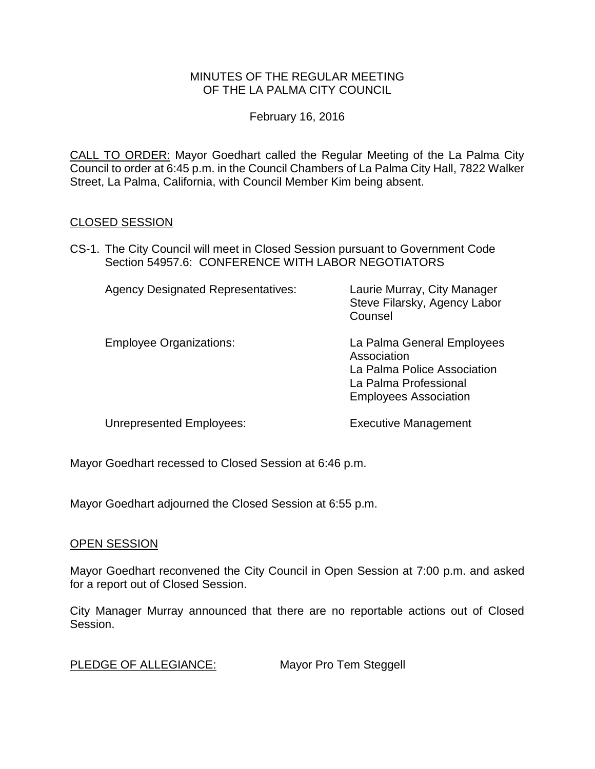### MINUTES OF THE REGULAR MEETING OF THE LA PALMA CITY COUNCIL

February 16, 2016

CALL TO ORDER: [Mayor Goedhart called the Regular Meeting of the La Palma City](http://lapalma.granicus.com/MediaPlayer.php?view_id=&clip_id=972&meta_id=129799)  [Council to order at 6:45 p.m. in the Council Chambers of La Palma City Hall, 7822 Walker](http://lapalma.granicus.com/MediaPlayer.php?view_id=&clip_id=972&meta_id=129799)  [Street, La Palma, California, with Council Member Kim being absent.](http://lapalma.granicus.com/MediaPlayer.php?view_id=&clip_id=972&meta_id=129799)

## [CLOSED SESSION](http://lapalma.granicus.com/MediaPlayer.php?view_id=&clip_id=972&meta_id=129801)

CS-1. [The City Council will meet in Closed Session pursuant to Government Code](http://lapalma.granicus.com/MediaPlayer.php?view_id=&clip_id=972&meta_id=129802)  Section 54957.6: [CONFERENCE WITH LABOR NEGOTIATORS](http://lapalma.granicus.com/MediaPlayer.php?view_id=&clip_id=972&meta_id=129802)

| <b>Agency Designated Representatives:</b> | Laurie Murray, City Manager<br>Steve Filarsky, Agency Labor<br>Counsel                                                            |
|-------------------------------------------|-----------------------------------------------------------------------------------------------------------------------------------|
| <b>Employee Organizations:</b>            | La Palma General Employees<br>Association<br>La Palma Police Association<br>La Palma Professional<br><b>Employees Association</b> |

Unrepresented Employees: Executive Management

Mayor Goedhart recessed to Closed Session at 6:46 p.m.

Mayor Goedhart adjourned the Closed Session at 6:55 p.m.

### OPEN SESSION

Mayor Goedhart reconvened the City Council in Open Session at 7:00 p.m. and asked for a report out of Closed Session.

City Manager Murray announced that there are no reportable actions out of Closed Session.

[PLEDGE OF ALLEGIANCE:](http://lapalma.granicus.com/MediaPlayer.php?view_id=&clip_id=972&meta_id=129811) Mayor Pro Tem Steggell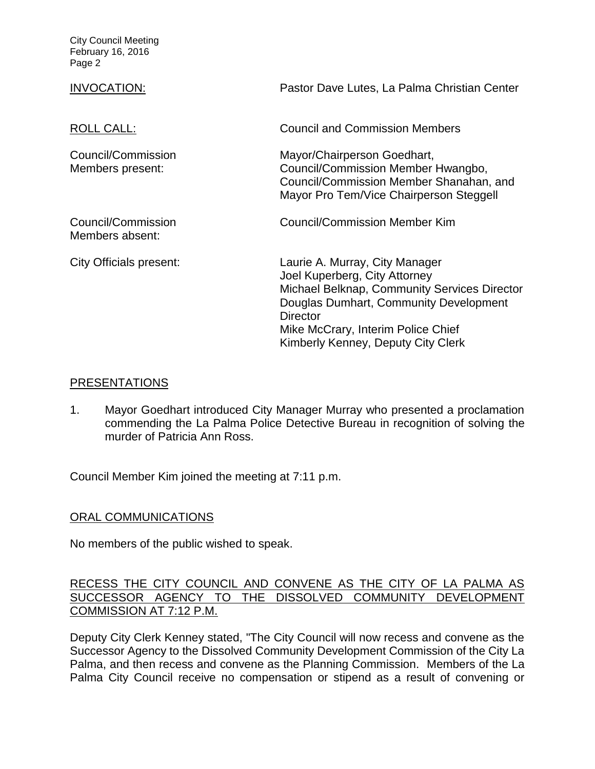| INVOCATION:                            | Pastor Dave Lutes, La Palma Christian Center                                                                                                                                                                                                             |
|----------------------------------------|----------------------------------------------------------------------------------------------------------------------------------------------------------------------------------------------------------------------------------------------------------|
| ROLL CALL:                             | <b>Council and Commission Members</b>                                                                                                                                                                                                                    |
| Council/Commission<br>Members present: | Mayor/Chairperson Goedhart,<br>Council/Commission Member Hwangbo,<br>Council/Commission Member Shanahan, and<br>Mayor Pro Tem/Vice Chairperson Steggell                                                                                                  |
| Council/Commission<br>Members absent:  | <b>Council/Commission Member Kim</b>                                                                                                                                                                                                                     |
| City Officials present:                | Laurie A. Murray, City Manager<br>Joel Kuperberg, City Attorney<br>Michael Belknap, Community Services Director<br>Douglas Dumhart, Community Development<br><b>Director</b><br>Mike McCrary, Interim Police Chief<br>Kimberly Kenney, Deputy City Clerk |

### [PRESENTATIONS](http://lapalma.granicus.com/MediaPlayer.php?view_id=&clip_id=972&meta_id=129815)

1. [Mayor Goedhart introduced City Manager Murray who presented a proclamation](http://lapalma.granicus.com/MediaPlayer.php?view_id=&clip_id=972&meta_id=129816)  commending the [La Palma Police Detective Bureau in recognition of solving the](http://lapalma.granicus.com/MediaPlayer.php?view_id=&clip_id=972&meta_id=129816)  [murder of Patricia Ann Ross.](http://lapalma.granicus.com/MediaPlayer.php?view_id=&clip_id=972&meta_id=129816)

Council Member Kim joined the meeting at 7:11 p.m.

# [ORAL COMMUNICATIONS](http://lapalma.granicus.com/MediaPlayer.php?view_id=&clip_id=972&meta_id=129884)

No members of the public wished to speak.

## [RECESS THE CITY COUNCIL AND CONVENE AS THE CITY OF LA PALMA AS](http://lapalma.granicus.com/MediaPlayer.php?view_id=&clip_id=972&meta_id=129818)  [SUCCESSOR AGENCY TO THE DISSOLVED COMMUNITY DEVELOPMENT](http://lapalma.granicus.com/MediaPlayer.php?view_id=&clip_id=972&meta_id=129818)  [COMMISSION AT 7:12 P.M.](http://lapalma.granicus.com/MediaPlayer.php?view_id=&clip_id=972&meta_id=129818)

Deputy City Clerk Kenney stated, "The City Council will now recess and convene as the Successor Agency to the Dissolved Community Development Commission of the City La Palma, and then recess and convene as the Planning Commission. Members of the La Palma City Council receive no compensation or stipend as a result of convening or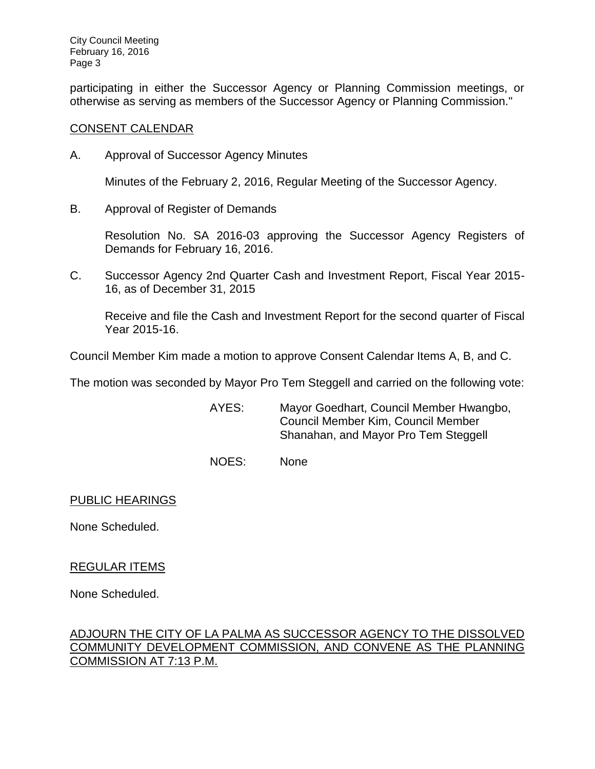participating in either the Successor Agency or Planning Commission meetings, or otherwise as serving as members of the Successor Agency or Planning Commission."

#### [CONSENT CALENDAR](http://lapalma.granicus.com/MediaPlayer.php?view_id=&clip_id=972&meta_id=129820)

A. Approval of Successor Agency Minutes

Minutes of the February 2, 2016, Regular Meeting of the Successor Agency.

B. Approval of Register of Demands

Resolution No. SA 2016-03 approving the Successor Agency Registers of Demands for February 16, 2016.

C. Successor Agency 2nd Quarter Cash and Investment Report, Fiscal Year 2015- 16, as of December 31, 2015

Receive and file the Cash and Investment Report for the second quarter of Fiscal Year 2015-16.

Council Member Kim made a motion to approve Consent Calendar Items A, B, and C.

The motion was seconded by Mayor Pro Tem Steggell and carried on the following vote:

AYES: Mayor Goedhart, Council Member Hwangbo, Council Member Kim, Council Member Shanahan, and Mayor Pro Tem Steggell

NOES: None

PUBLIC HEARINGS

None Scheduled.

### REGULAR ITEMS

None Scheduled.

## [ADJOURN THE CITY OF LA PALMA AS SUCCESSOR AGENCY TO THE DISSOLVED](http://lapalma.granicus.com/MediaPlayer.php?view_id=&clip_id=972&meta_id=129827)  [COMMUNITY DEVELOPMENT COMMISSION, AND CONVENE AS THE PLANNING](http://lapalma.granicus.com/MediaPlayer.php?view_id=&clip_id=972&meta_id=129827)  [COMMISSION AT 7:13 P.M.](http://lapalma.granicus.com/MediaPlayer.php?view_id=&clip_id=972&meta_id=129827)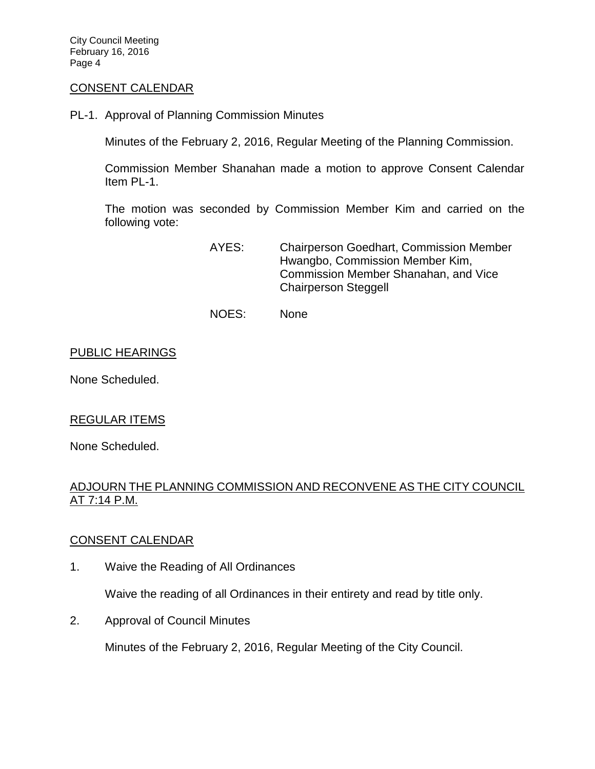#### [CONSENT CALENDAR](http://lapalma.granicus.com/MediaPlayer.php?view_id=&clip_id=972&meta_id=129889)

PL-1. Approval of Planning Commission Minutes

Minutes of the February 2, 2016, Regular Meeting of the Planning Commission.

Commission Member Shanahan made a motion to approve Consent Calendar Item PL-1.

The motion was seconded by Commission Member Kim and carried on the following vote:

> AYES: Chairperson Goedhart, Commission Member Hwangbo, Commission Member Kim, Commission Member Shanahan, and Vice Chairperson Steggell

NOES: None

#### PUBLIC HEARINGS

None Scheduled.

#### REGULAR ITEMS

None Scheduled.

### [ADJOURN THE PLANNING COMMISSION AND RECONVENE AS THE CITY COUNCIL](http://lapalma.granicus.com/MediaPlayer.php?view_id=&clip_id=972&meta_id=129828)  [AT 7:14 P.M.](http://lapalma.granicus.com/MediaPlayer.php?view_id=&clip_id=972&meta_id=129828)

#### [CONSENT CALENDAR](http://lapalma.granicus.com/MediaPlayer.php?view_id=&clip_id=972&meta_id=129829)

1. Waive the Reading of All Ordinances

Waive the reading of all Ordinances in their entirety and read by title only.

2. Approval of Council Minutes

Minutes of the February 2, 2016, Regular Meeting of the City Council.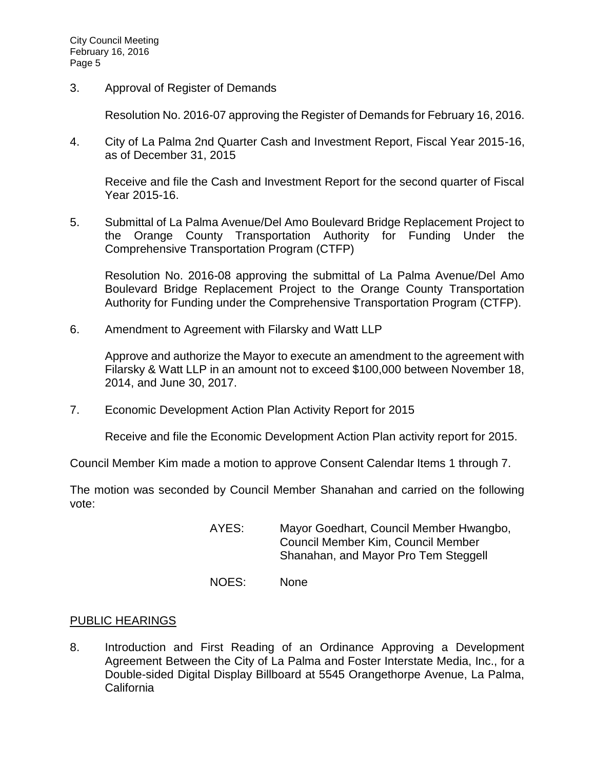3. Approval of Register of Demands

Resolution No. 2016-07 approving the Register of Demands for February 16, 2016.

4. City of La Palma 2nd Quarter Cash and Investment Report, Fiscal Year 2015-16, as of December 31, 2015

Receive and file the Cash and Investment Report for the second quarter of Fiscal Year 2015-16.

5. Submittal of La Palma Avenue/Del Amo Boulevard Bridge Replacement Project to the Orange County Transportation Authority for Funding Under the Comprehensive Transportation Program (CTFP)

Resolution No. 2016-08 approving the submittal of La Palma Avenue/Del Amo Boulevard Bridge Replacement Project to the Orange County Transportation Authority for Funding under the Comprehensive Transportation Program (CTFP).

6. Amendment to Agreement with Filarsky and Watt LLP

Approve and authorize the Mayor to execute an amendment to the agreement with Filarsky & Watt LLP in an amount not to exceed \$100,000 between November 18, 2014, and June 30, 2017.

7. Economic Development Action Plan Activity Report for 2015

Receive and file the Economic Development Action Plan activity report for 2015.

Council Member Kim made a motion to approve Consent Calendar Items 1 through 7.

The motion was seconded by Council Member Shanahan and carried on the following vote:

- AYES: Mayor Goedhart, Council Member Hwangbo, Council Member Kim, Council Member Shanahan, and Mayor Pro Tem Steggell
- NOES: None

### [PUBLIC HEARINGS](http://lapalma.granicus.com/MediaPlayer.php?view_id=&clip_id=972&meta_id=129844)

8. [Introduction and First Reading of an Ordinance Approving a Development](http://lapalma.granicus.com/MediaPlayer.php?view_id=&clip_id=972&meta_id=129845)  [Agreement Between the City of La Palma and Foster Interstate Media, Inc., for a](http://lapalma.granicus.com/MediaPlayer.php?view_id=&clip_id=972&meta_id=129845)  [Double-sided Digital Display Billboard at 5545 Orangethorpe Avenue, La Palma,](http://lapalma.granicus.com/MediaPlayer.php?view_id=&clip_id=972&meta_id=129845)  [California](http://lapalma.granicus.com/MediaPlayer.php?view_id=&clip_id=972&meta_id=129845)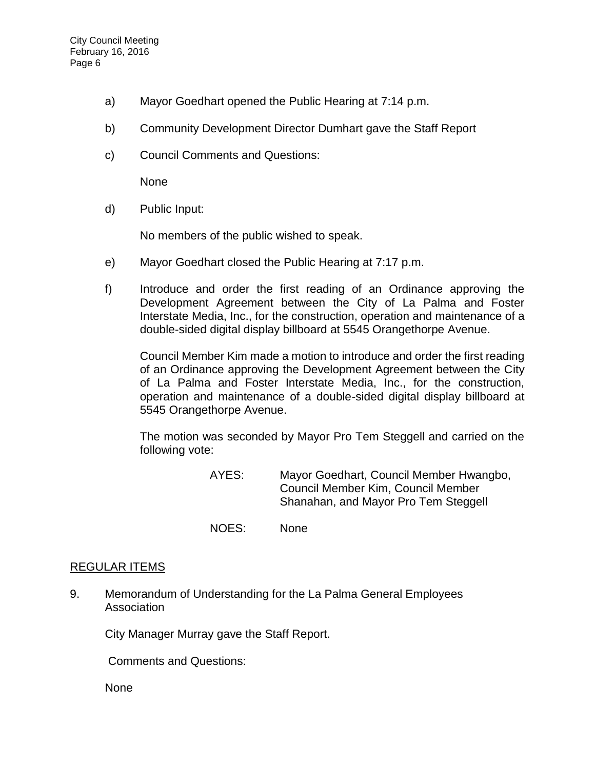- a) [Mayor Goedhart opened the Public Hearing at 7:14 p.m.](http://lapalma.granicus.com/MediaPlayer.php?view_id=&clip_id=972&meta_id=129846)
- b) [Community Development Director Dumhart gave the Staff Report](http://lapalma.granicus.com/MediaPlayer.php?view_id=&clip_id=972&meta_id=129847)
- c) [Council Comments and Questions:](http://lapalma.granicus.com/MediaPlayer.php?view_id=&clip_id=972&meta_id=129848)

None

d) [Public Input:](http://lapalma.granicus.com/MediaPlayer.php?view_id=&clip_id=972&meta_id=129849)

No members of the public wished to speak.

- e) [Mayor Goedhart closed the Public Hearing at 7:17 p.m.](http://lapalma.granicus.com/MediaPlayer.php?view_id=&clip_id=972&meta_id=129850)
- f) [Introduce and order the first reading of an Ordinance approving the](http://lapalma.granicus.com/MediaPlayer.php?view_id=&clip_id=972&meta_id=129851)  [Development Agreement between the City of La Palma and Foster](http://lapalma.granicus.com/MediaPlayer.php?view_id=&clip_id=972&meta_id=129851)  [Interstate Media, Inc., for the construction, operation and maintenance of a](http://lapalma.granicus.com/MediaPlayer.php?view_id=&clip_id=972&meta_id=129851)  [double-sided digital display billboard at 5545 Orangethorpe Avenue.](http://lapalma.granicus.com/MediaPlayer.php?view_id=&clip_id=972&meta_id=129851)

Council Member Kim made a motion to introduce and order the first reading of an Ordinance approving the Development Agreement between the City of La Palma and Foster Interstate Media, Inc., for the construction, operation and maintenance of a double-sided digital display billboard at 5545 Orangethorpe Avenue.

The motion was seconded by Mayor Pro Tem Steggell and carried on the following vote:

- AYES: Mayor Goedhart, Council Member Hwangbo, Council Member Kim, Council Member Shanahan, and Mayor Pro Tem Steggell
- NOES: None

### [REGULAR ITEMS](http://lapalma.granicus.com/MediaPlayer.php?view_id=&clip_id=972&meta_id=129854)

9. [Memorandum of Understanding for the La Palma General Employees](http://lapalma.granicus.com/MediaPlayer.php?view_id=&clip_id=972&meta_id=129855)  [Association](http://lapalma.granicus.com/MediaPlayer.php?view_id=&clip_id=972&meta_id=129855)

City Manager Murray gave the Staff Report.

Comments and Questions:

None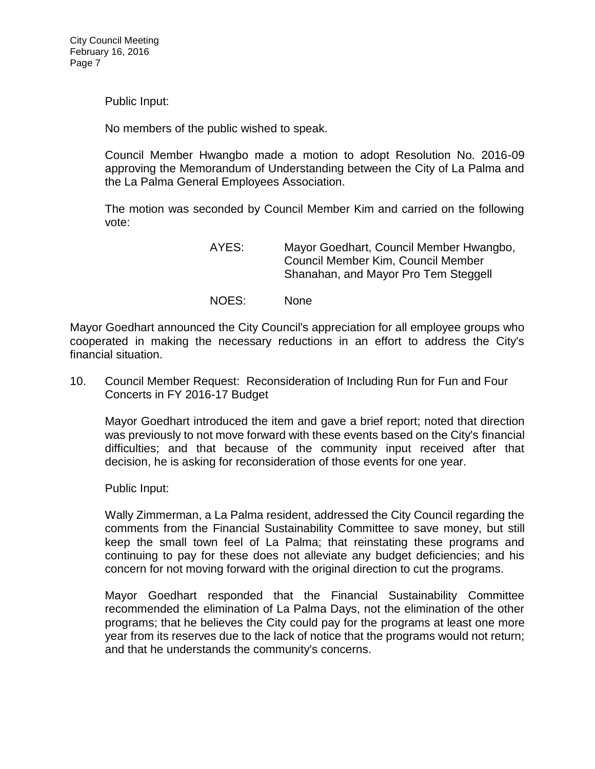Public Input:

No members of the public wished to speak.

Council Member Hwangbo made a motion to adopt Resolution No. 2016-09 approving the Memorandum of Understanding between the City of La Palma and the La Palma General Employees Association.

The motion was seconded by Council Member Kim and carried on the following vote:

> AYES: Mayor Goedhart, Council Member Hwangbo, Council Member Kim, Council Member Shanahan, and Mayor Pro Tem Steggell

NOES: None

Mayor Goedhart announced the City Council's appreciation for all employee groups who cooperated in making the necessary reductions in an effort to address the City's financial situation.

10. Council Member Request: [Reconsideration of Including Run for Fun and Four](http://lapalma.granicus.com/MediaPlayer.php?view_id=&clip_id=972&meta_id=129856)  [Concerts in FY 2016-17 Budget](http://lapalma.granicus.com/MediaPlayer.php?view_id=&clip_id=972&meta_id=129856)

Mayor Goedhart introduced the item and gave a brief report; noted that direction was previously to not move forward with these events based on the City's financial difficulties; and that because of the community input received after that decision, he is asking for reconsideration of those events for one year.

Public Input:

Wally Zimmerman, a La Palma resident, addressed the City Council regarding the comments from the Financial Sustainability Committee to save money, but still keep the small town feel of La Palma; that reinstating these programs and continuing to pay for these does not alleviate any budget deficiencies; and his concern for not moving forward with the original direction to cut the programs.

Mayor Goedhart responded that the Financial Sustainability Committee recommended the elimination of La Palma Days, not the elimination of the other programs; that he believes the City could pay for the programs at least one more year from its reserves due to the lack of notice that the programs would not return; and that he understands the community's concerns.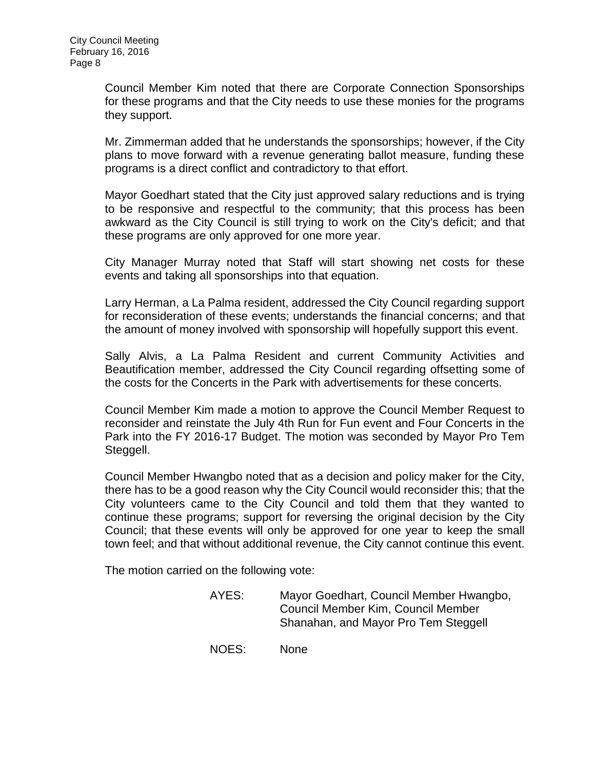Council Member Kim noted that there are Corporate Connection Sponsorships for these programs and that the City needs to use these monies for the programs they support.

Mr. Zimmerman added that he understands the sponsorships; however, if the City plans to move forward with a revenue generating ballot measure, funding these programs is a direct conflict and contradictory to that effort.

Mayor Goedhart stated that the City just approved salary reductions and is trying to be responsive and respectful to the community; that this process has been awkward as the City Council is still trying to work on the City's deficit; and that these programs are only approved for one more year.

City Manager Murray noted that Staff will start showing net costs for these events and taking all sponsorships into that equation.

Larry Herman, a La Palma resident, addressed the City Council regarding support for reconsideration of these events; understands the financial concerns; and that the amount of money involved with sponsorship will hopefully support this event.

Sally Alvis, a La Palma Resident and current Community Activities and Beautification member, addressed the City Council regarding offsetting some of the costs for the Concerts in the Park with advertisements for these concerts.

Council Member Kim made a motion to approve the Council Member Request to reconsider and reinstate the July 4th Run for Fun event and Four Concerts in the Park into the FY 2016-17 Budget. The motion was seconded by Mayor Pro Tem Steggell.

Council Member Hwangbo noted that as a decision and policy maker for the City, there has to be a good reason why the City Council would reconsider this; that the City volunteers came to the City Council and told them that they wanted to continue these programs; support for reversing the original decision by the City Council; that these events will only be approved for one year to keep the small town feel; and that without additional revenue, the City cannot continue this event.

The motion carried on the following vote:

| AYES: | Mayor Goedhart, Council Member Hwangbo, |
|-------|-----------------------------------------|
|       | Council Member Kim, Council Member      |
|       | Shanahan, and Mayor Pro Tem Steggell    |

NOES: None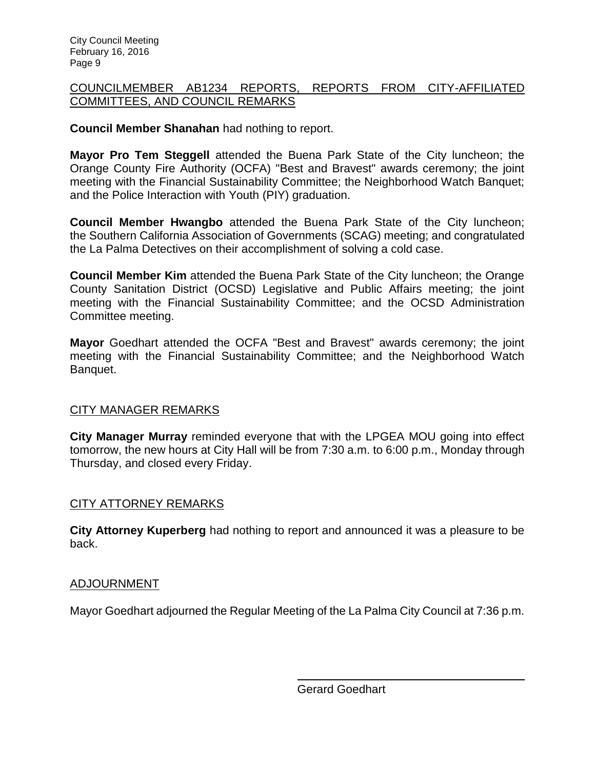### [COUNCILMEMBER AB1234 REPORTS, REPORTS FROM CITY-AFFILIATED](http://lapalma.granicus.com/MediaPlayer.php?view_id=&clip_id=972&meta_id=129872)  [COMMITTEES, AND COUNCIL REMARKS](http://lapalma.granicus.com/MediaPlayer.php?view_id=&clip_id=972&meta_id=129872)

## **Council Member Shanahan** had nothing to report.

**Mayor Pro Tem Steggell** attended the Buena Park State of the City luncheon; the Orange County Fire Authority (OCFA) "Best and Bravest" awards ceremony; the joint meeting with the Financial Sustainability Committee; the Neighborhood Watch Banquet; and the Police Interaction with Youth (PIY) graduation.

**Council Member Hwangbo** attended the Buena Park State of the City luncheon; the Southern California Association of Governments (SCAG) meeting; and congratulated the La Palma Detectives on their accomplishment of solving a cold case.

**Council Member Kim** attended the Buena Park State of the City luncheon; the Orange County Sanitation District (OCSD) Legislative and Public Affairs meeting; the joint meeting with the Financial Sustainability Committee; and the OCSD Administration Committee meeting.

**Mayor** Goedhart attended the OCFA "Best and Bravest" awards ceremony; the joint meeting with the Financial Sustainability Committee; and the Neighborhood Watch Banquet.

### [CITY MANAGER REMARKS](http://lapalma.granicus.com/MediaPlayer.php?view_id=&clip_id=972&meta_id=129878)

**City Manager Murray** reminded everyone that with the LPGEA MOU going into effect tomorrow, the new hours at City Hall will be from 7:30 a.m. to 6:00 p.m., Monday through Thursday, and closed every Friday.

# [CITY ATTORNEY REMARKS](http://lapalma.granicus.com/MediaPlayer.php?view_id=&clip_id=972&meta_id=129880)

**City Attorney Kuperberg** had nothing to report and announced it was a pleasure to be back.

### [ADJOURNMENT](http://lapalma.granicus.com/MediaPlayer.php?view_id=&clip_id=972&meta_id=129882)

Mayor Goedhart adjourned the Regular Meeting of the La Palma City Council at 7:36 p.m.

Gerard Goedhart